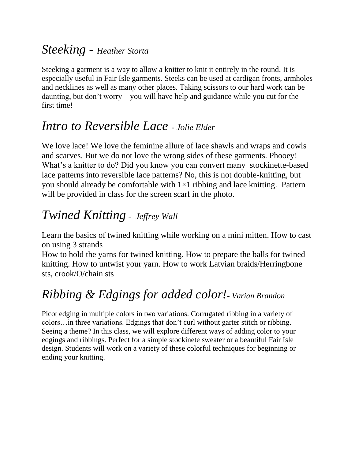### *Steeking - Heather Storta*

Steeking a garment is a way to allow a knitter to knit it entirely in the round. It is especially useful in Fair Isle garments. Steeks can be used at cardigan fronts, armholes and necklines as well as many other places. Taking scissors to our hard work can be daunting, but don't worry – you will have help and guidance while you cut for the first time!

## *Intro to Reversible Lace - Jolie Elder*

We love lace! We love the feminine allure of lace shawls and wraps and cowls and scarves. But we do not love the wrong sides of these garments. Phooey! What's a knitter to do? Did you know you can convert many stockinette-based lace patterns into reversible lace patterns? No, this is not double-knitting, but you should already be comfortable with  $1\times1$  ribbing and lace knitting. Pattern will be provided in class for the screen scarf in the photo.

## *Twined Knitting - Jeffrey Wall*

Learn the basics of twined knitting while working on a mini mitten. How to cast on using 3 strands

How to hold the yarns for twined knitting. How to prepare the balls for twined knitting. How to untwist your yarn. How to work Latvian braids/Herringbone sts, crook/O/chain sts

# *Ribbing & Edgings for added color!- Varian Brandon*

Picot edging in multiple colors in two variations. Corrugated ribbing in a variety of colors…in three variations. Edgings that don't curl without garter stitch or ribbing. Seeing a theme? In this class, we will explore different ways of adding color to your edgings and ribbings. Perfect for a simple stockinete sweater or a beautiful Fair Isle design. Students will work on a variety of these colorful techniques for beginning or ending your knitting.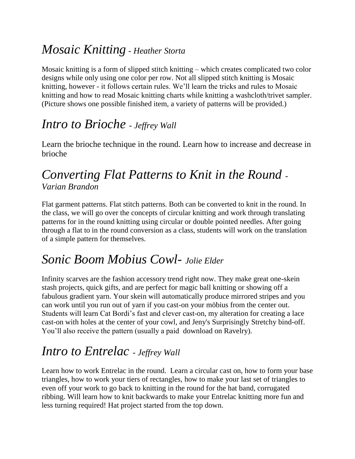# *Mosaic Knitting - Heather Storta*

Mosaic knitting is a form of slipped stitch knitting – which creates complicated two color designs while only using one color per row. Not all slipped stitch knitting is Mosaic knitting, however - it follows certain rules. We'll learn the tricks and rules to Mosaic knitting and how to read Mosaic knitting charts while knitting a washcloth/trivet sampler. (Picture shows one possible finished item, a variety of patterns will be provided.)

### *Intro to Brioche - Jeffrey Wall*

Learn the brioche technique in the round. Learn how to increase and decrease in brioche

#### *Converting Flat Patterns to Knit in the Round - Varian Brandon*

Flat garment patterns. Flat stitch patterns. Both can be converted to knit in the round. In the class, we will go over the concepts of circular knitting and work through translating patterns for in the round knitting using circular or double pointed needles. After going through a flat to in the round conversion as a class, students will work on the translation of a simple pattern for themselves.

# *Sonic Boom Mobius Cowl- Jolie Elder*

Infinity scarves are the fashion accessory trend right now. They make great one-skein stash projects, quick gifts, and are perfect for magic ball knitting or showing off a fabulous gradient yarn. Your skein will automatically produce mirrored stripes and you can work until you run out of yarn if you cast-on your möbius from the center out. Students will learn Cat Bordi's fast and clever cast-on, my alteration for creating a lace cast-on with holes at the center of your cowl, and Jeny's Surprisingly Stretchy bind-off. You'll also receive the pattern (usually a paid download on Ravelry).

### *Intro to Entrelac - Jeffrey Wall*

Learn how to work Entrelac in the round. Learn a circular cast on, how to form your base triangles, how to work your tiers of rectangles, how to make your last set of triangles to even off your work to go back to knitting in the round for the hat band, corrugated ribbing. Will learn how to knit backwards to make your Entrelac knitting more fun and less turning required! Hat project started from the top down.